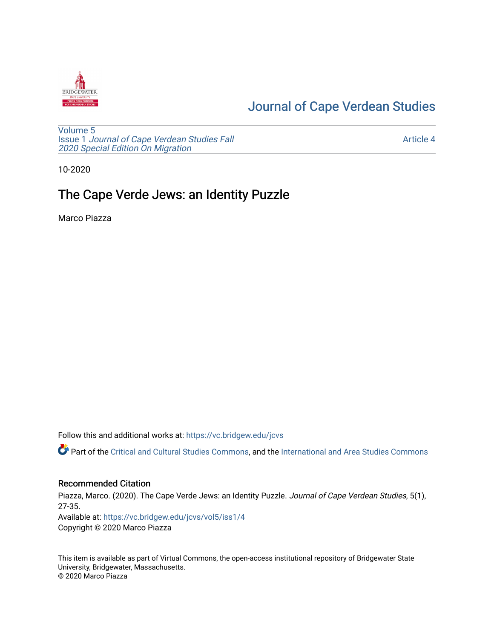

# [Journal of Cape Verdean Studies](https://vc.bridgew.edu/jcvs)

[Volume 5](https://vc.bridgew.edu/jcvs/vol5) Issue 1 [Journal of Cape Verdean Studies Fall](https://vc.bridgew.edu/jcvs/vol5/iss1)  [2020 Special Edition On Migration](https://vc.bridgew.edu/jcvs/vol5/iss1) 

[Article 4](https://vc.bridgew.edu/jcvs/vol5/iss1/4) 

10-2020

# The Cape Verde Jews: an Identity Puzzle

Marco Piazza

Follow this and additional works at: [https://vc.bridgew.edu/jcvs](https://vc.bridgew.edu/jcvs?utm_source=vc.bridgew.edu%2Fjcvs%2Fvol5%2Fiss1%2F4&utm_medium=PDF&utm_campaign=PDFCoverPages) 

Part of the [Critical and Cultural Studies Commons](http://network.bepress.com/hgg/discipline/328?utm_source=vc.bridgew.edu%2Fjcvs%2Fvol5%2Fiss1%2F4&utm_medium=PDF&utm_campaign=PDFCoverPages), and the International and Area Studies Commons

## Recommended Citation

Piazza, Marco. (2020). The Cape Verde Jews: an Identity Puzzle. Journal of Cape Verdean Studies, 5(1), 27-35. Available at: [https://vc.bridgew.edu/jcvs/vol5/iss1/4](https://vc.bridgew.edu/jcvs/vol5/iss1/4?utm_source=vc.bridgew.edu%2Fjcvs%2Fvol5%2Fiss1%2F4&utm_medium=PDF&utm_campaign=PDFCoverPages)  Copyright © 2020 Marco Piazza

This item is available as part of Virtual Commons, the open-access institutional repository of Bridgewater State University, Bridgewater, Massachusetts. © 2020 Marco Piazza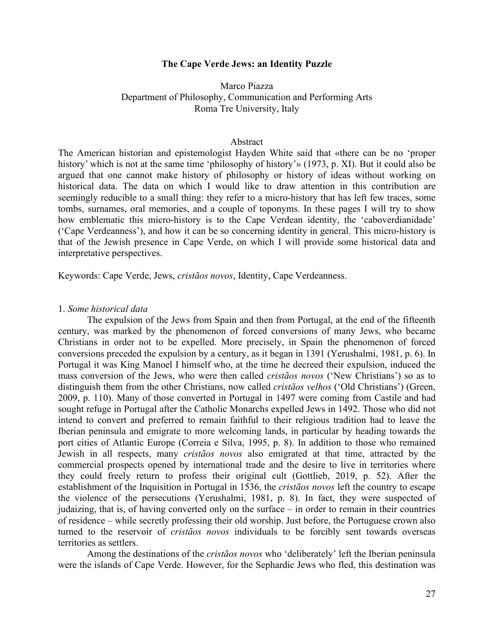#### **The Cape Verde Jews: an Identity Puzzle**

# Marco Piazza Department of Philosophy, Communication and Performing Arts Roma Tre University, Italy

### Abstract

The American historian and epistemologist Hayden White said that «there can be no 'proper history' which is not at the same time 'philosophy of history'» (1973, p. XI). But it could also be argued that one cannot make history of philosophy or history of ideas without working on historical data. The data on which I would like to draw attention in this contribution are seemingly reducible to a small thing: they refer to a micro-history that has left few traces, some tombs, surnames, oral memories, and a couple of toponyms. In these pages I will try to show how emblematic this micro-history is to the Cape Verdean identity, the 'caboverdianidade' ('Cape Verdeanness'), and how it can be so concerning identity in general. This micro-history is that of the Jewish presence in Cape Verde, on which I will provide some historical data and interpretative perspectives.

Keywords: Cape Verde, Jews, *cristãos novos*, Identity, Cape Verdeanness.

#### 1. *Some historical data*

The expulsion of the Jews from Spain and then from Portugal, at the end of the fifteenth century, was marked by the phenomenon of forced conversions of many Jews, who became Christians in order not to be expelled. More precisely, in Spain the phenomenon of forced conversions preceded the expulsion by a century, as it began in 1391 (Yerushalmi, 1981, p. 6). In Portugal it was King Manoel I himself who, at the time he decreed their expulsion, induced the mass conversion of the Jews, who were then called *cristãos novos* ('New Christians') so as to distinguish them from the other Christians, now called *cristãos velhos* ('Old Christians') (Green, 2009, p. 110). Many of those converted in Portugal in 1497 were coming from Castile and had sought refuge in Portugal after the Catholic Monarchs expelled Jews in 1492. Those who did not intend to convert and preferred to remain faithful to their religious tradition had to leave the Iberian peninsula and emigrate to more welcoming lands, in particular by heading towards the port cities of Atlantic Europe (Correia e Silva, 1995, p. 8). In addition to those who remained Jewish in all respects, many *cristãos novos* also emigrated at that time, attracted by the commercial prospects opened by international trade and the desire to live in territories where they could freely return to profess their original cult (Gottlieb, 2019, p. 52). After the establishment of the Inquisition in Portugal in 1536, the *cristãos novos* left the country to escape the violence of the persecutions (Yerushalmi, 1981, p. 8). In fact, they were suspected of judaizing, that is, of having converted only on the surface – in order to remain in their countries of residence – while secretly professing their old worship. Just before, the Portuguese crown also turned to the reservoir of *cristãos novos* individuals to be forcibly sent towards overseas territories as settlers.

Among the destinations of the *cristãos novos* who 'deliberately' left the Iberian peninsula were the islands of Cape Verde. However, for the Sephardic Jews who fled, this destination was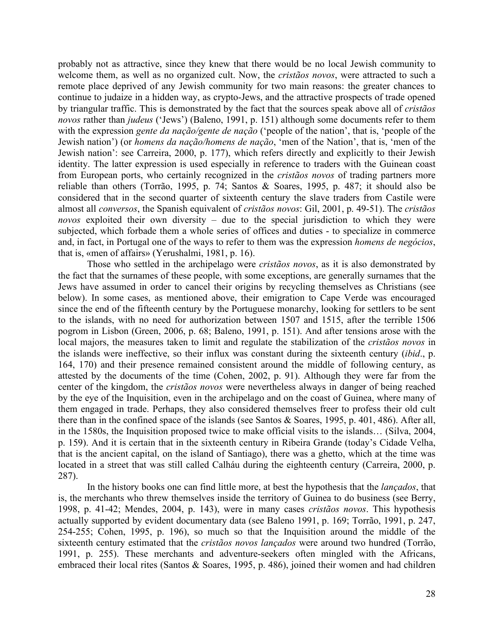probably not as attractive, since they knew that there would be no local Jewish community to welcome them, as well as no organized cult. Now, the *cristãos novos*, were attracted to such a remote place deprived of any Jewish community for two main reasons: the greater chances to continue to judaize in a hidden way, as crypto-Jews, and the attractive prospects of trade opened by triangular traffic. This is demonstrated by the fact that the sources speak above all of *cristãos novos* rather than *judeus* ('Jews') (Baleno, 1991, p. 151) although some documents refer to them with the expression *gente da nação/gente de nação* ('people of the nation', that is, 'people of the Jewish nation') (or *homens da nação/homens de nação*, 'men of the Nation', that is, 'men of the Jewish nation': see Carreira, 2000, p. 177), which refers directly and explicitly to their Jewish identity. The latter expression is used especially in reference to traders with the Guinean coast from European ports, who certainly recognized in the *cristãos novos* of trading partners more reliable than others (Torrão, 1995, p. 74; Santos & Soares, 1995, p. 487; it should also be considered that in the second quarter of sixteenth century the slave traders from Castile were almost all *conversos*, the Spanish equivalent of *cristãos novos*: Gil, 2001, p. 49-51). The *cristãos novos* exploited their own diversity – due to the special jurisdiction to which they were subjected, which forbade them a whole series of offices and duties - to specialize in commerce and, in fact, in Portugal one of the ways to refer to them was the expression *homens de negócios*, that is, «men of affairs» (Yerushalmi, 1981, p. 16).

Those who settled in the archipelago were *cristãos novos*, as it is also demonstrated by the fact that the surnames of these people, with some exceptions, are generally surnames that the Jews have assumed in order to cancel their origins by recycling themselves as Christians (see below). In some cases, as mentioned above, their emigration to Cape Verde was encouraged since the end of the fifteenth century by the Portuguese monarchy, looking for settlers to be sent to the islands, with no need for authorization between 1507 and 1515, after the terrible 1506 pogrom in Lisbon (Green, 2006, p. 68; Baleno, 1991, p. 151). And after tensions arose with the local majors, the measures taken to limit and regulate the stabilization of the *cristãos novos* in the islands were ineffective, so their influx was constant during the sixteenth century (*ibid*., p. 164, 170) and their presence remained consistent around the middle of following century, as attested by the documents of the time (Cohen, 2002, p. 91). Although they were far from the center of the kingdom, the *cristãos novos* were nevertheless always in danger of being reached by the eye of the Inquisition, even in the archipelago and on the coast of Guinea, where many of them engaged in trade. Perhaps, they also considered themselves freer to profess their old cult there than in the confined space of the islands (see Santos & Soares, 1995, p. 401, 486). After all, in the 1580s, the Inquisition proposed twice to make official visits to the islands… (Silva, 2004, p. 159). And it is certain that in the sixteenth century in Ribeira Grande (today's Cidade Velha, that is the ancient capital, on the island of Santiago), there was a ghetto, which at the time was located in a street that was still called Calháu during the eighteenth century (Carreira, 2000, p. 287).

In the history books one can find little more, at best the hypothesis that the *lançados*, that is, the merchants who threw themselves inside the territory of Guinea to do business (see Berry, 1998, p. 41-42; Mendes, 2004, p. 143), were in many cases *cristãos novos*. This hypothesis actually supported by evident documentary data (see Baleno 1991, p. 169; Torrão, 1991, p. 247, 254-255; Cohen, 1995, p. 196), so much so that the Inquisition around the middle of the sixteenth century estimated that the *cristãos novos lançados* were around two hundred (Torrão, 1991, p. 255). These merchants and adventure-seekers often mingled with the Africans, embraced their local rites (Santos & Soares, 1995, p. 486), joined their women and had children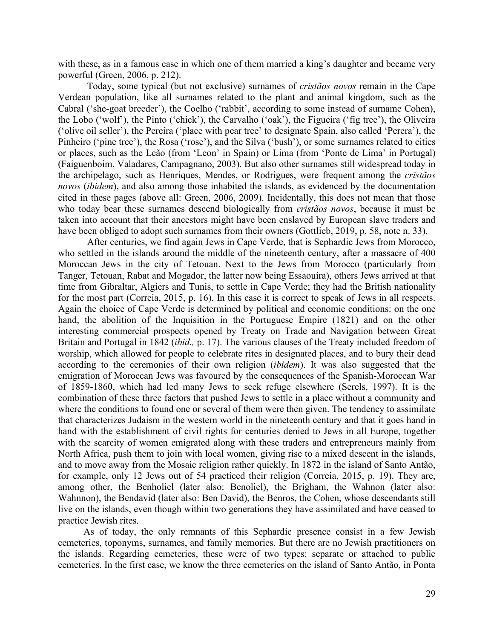with these, as in a famous case in which one of them married a king's daughter and became very powerful (Green, 2006, p. 212).

Today, some typical (but not exclusive) surnames of *cristãos novos* remain in the Cape Verdean population, like all surnames related to the plant and animal kingdom, such as the Cabral ('she-goat breeder'), the Coelho ('rabbit', according to some instead of surname Cohen), the Lobo ('wolf'), the Pinto ('chick'), the Carvalho ('oak'), the Figueira ('fig tree'), the Oliveira ('olive oil seller'), the Pereira ('place with pear tree' to designate Spain, also called 'Perera'), the Pinheiro ('pine tree'), the Rosa ('rose'), and the Silva ('bush'), or some surnames related to cities or places, such as the Leão (from 'Leon' in Spain) or Lima (from 'Ponte de Lima' in Portugal) (Faiguenboim, Valadares, Campagnano, 2003). But also other surnames still widespread today in the archipelago, such as Henriques, Mendes, or Rodrigues, were frequent among the *cristãos novos* (*ibidem*), and also among those inhabited the islands, as evidenced by the documentation cited in these pages (above all: Green, 2006, 2009). Incidentally, this does not mean that those who today bear these surnames descend biologically from *cristãos novos*, because it must be taken into account that their ancestors might have been enslaved by European slave traders and have been obliged to adopt such surnames from their owners (Gottlieb, 2019, p. 58, note n. 33).

After centuries, we find again Jews in Cape Verde, that is Sephardic Jews from Morocco, who settled in the islands around the middle of the nineteenth century, after a massacre of 400 Moroccan Jews in the city of Tetouan. Next to the Jews from Morocco (particularly from Tanger, Tetouan, Rabat and Mogador, the latter now being Essaouira), others Jews arrived at that time from Gibraltar, Algiers and Tunis, to settle in Cape Verde; they had the British nationality for the most part (Correia, 2015, p. 16). In this case it is correct to speak of Jews in all respects. Again the choice of Cape Verde is determined by political and economic conditions: on the one hand, the abolition of the Inquisition in the Portuguese Empire (1821) and on the other interesting commercial prospects opened by Treaty on Trade and Navigation between Great Britain and Portugal in 1842 (*ibid.,* p. 17). The various clauses of the Treaty included freedom of worship, which allowed for people to celebrate rites in designated places, and to bury their dead according to the ceremonies of their own religion (*ibidem*). It was also suggested that the emigration of Moroccan Jews was favoured by the consequences of the Spanish-Moroccan War of 1859-1860, which had led many Jews to seek refuge elsewhere (Serels, 1997). It is the combination of these three factors that pushed Jews to settle in a place without a community and where the conditions to found one or several of them were then given. The tendency to assimilate that characterizes Judaism in the western world in the nineteenth century and that it goes hand in hand with the establishment of civil rights for centuries denied to Jews in all Europe, together with the scarcity of women emigrated along with these traders and entrepreneurs mainly from North Africa, push them to join with local women, giving rise to a mixed descent in the islands, and to move away from the Mosaic religion rather quickly. In 1872 in the island of Santo Antão, for example, only 12 Jews out of 54 practiced their religion (Correia, 2015, p. 19). They are, among other, the Benholiel (later also: Benoliel), the Brigham, the Wahnon (later also: Wahnnon), the Bendavid (later also: Ben David), the Benros, the Cohen, whose descendants still live on the islands, even though within two generations they have assimilated and have ceased to practice Jewish rites.

As of today, the only remnants of this Sephardic presence consist in a few Jewish cemeteries, toponyms, surnames, and family memories. But there are no Jewish practitioners on the islands. Regarding cemeteries, these were of two types: separate or attached to public cemeteries. In the first case, we know the three cemeteries on the island of Santo Antão, in Ponta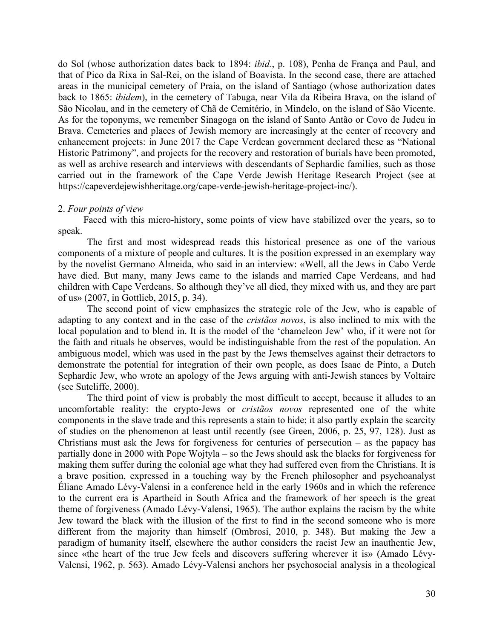do Sol (whose authorization dates back to 1894: *ibid.*, p. 108), Penha de França and Paul, and that of Pico da Rixa in Sal-Rei, on the island of Boavista. In the second case, there are attached areas in the municipal cemetery of Praia, on the island of Santiago (whose authorization dates back to 1865: *ibidem*), in the cemetery of Tabuga, near Vila da Ribeira Brava, on the island of São Nicolau, and in the cemetery of Chã de Cemitério, in Mindelo, on the island of São Vicente. As for the toponyms, we remember Sinagoga on the island of Santo Antão or Covo de Judeu in Brava. Cemeteries and places of Jewish memory are increasingly at the center of recovery and enhancement projects: in June 2017 the Cape Verdean government declared these as "National Historic Patrimony", and projects for the recovery and restoration of burials have been promoted, as well as archive research and interviews with descendants of Sephardic families, such as those carried out in the framework of the Cape Verde Jewish Heritage Research Project (see at https://capeverdejewishheritage.org/cape-verde-jewish-heritage-project-inc/).

#### 2. *Four points of view*

Faced with this micro-history, some points of view have stabilized over the years, so to speak.

The first and most widespread reads this historical presence as one of the various components of a mixture of people and cultures. It is the position expressed in an exemplary way by the novelist Germano Almeida, who said in an interview: «Well, all the Jews in Cabo Verde have died. But many, many Jews came to the islands and married Cape Verdeans, and had children with Cape Verdeans. So although they've all died, they mixed with us, and they are part of us» (2007, in Gottlieb, 2015, p. 34).

The second point of view emphasizes the strategic role of the Jew, who is capable of adapting to any context and in the case of the *cristãos novos*, is also inclined to mix with the local population and to blend in. It is the model of the 'chameleon Jew' who, if it were not for the faith and rituals he observes, would be indistinguishable from the rest of the population. An ambiguous model, which was used in the past by the Jews themselves against their detractors to demonstrate the potential for integration of their own people, as does Isaac de Pinto, a Dutch Sephardic Jew, who wrote an apology of the Jews arguing with anti-Jewish stances by Voltaire (see Sutcliffe, 2000).

The third point of view is probably the most difficult to accept, because it alludes to an uncomfortable reality: the crypto-Jews or *cristãos novos* represented one of the white components in the slave trade and this represents a stain to hide; it also partly explain the scarcity of studies on the phenomenon at least until recently (see Green, 2006, p. 25, 97, 128). Just as Christians must ask the Jews for forgiveness for centuries of persecution  $-$  as the papacy has partially done in 2000 with Pope Wojtyla – so the Jews should ask the blacks for forgiveness for making them suffer during the colonial age what they had suffered even from the Christians. It is a brave position, expressed in a touching way by the French philosopher and psychoanalyst Éliane Amado Lévy-Valensi in a conference held in the early 1960s and in which the reference to the current era is Apartheid in South Africa and the framework of her speech is the great theme of forgiveness (Amado Lévy-Valensi, 1965). The author explains the racism by the white Jew toward the black with the illusion of the first to find in the second someone who is more different from the majority than himself (Ombrosi, 2010, p. 348). But making the Jew a paradigm of humanity itself, elsewhere the author considers the racist Jew an inauthentic Jew, since «the heart of the true Jew feels and discovers suffering wherever it is» (Amado Lévy-Valensi, 1962, p. 563). Amado Lévy-Valensi anchors her psychosocial analysis in a theological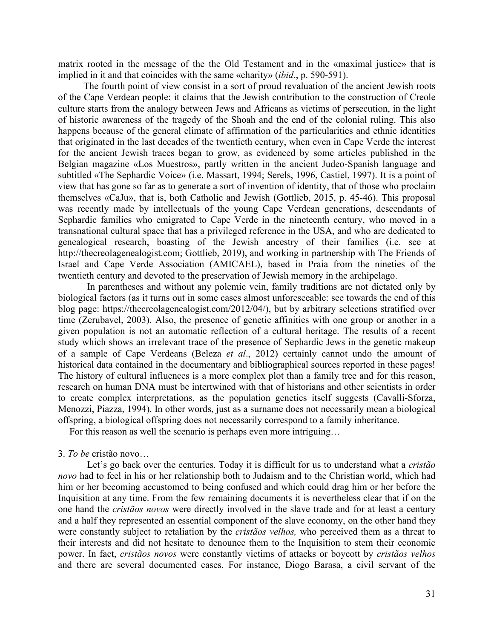matrix rooted in the message of the the Old Testament and in the «maximal justice» that is implied in it and that coincides with the same «charity» (*ibid*., p. 590-591).

The fourth point of view consist in a sort of proud revaluation of the ancient Jewish roots of the Cape Verdean people: it claims that the Jewish contribution to the construction of Creole culture starts from the analogy between Jews and Africans as victims of persecution, in the light of historic awareness of the tragedy of the Shoah and the end of the colonial ruling. This also happens because of the general climate of affirmation of the particularities and ethnic identities that originated in the last decades of the twentieth century, when even in Cape Verde the interest for the ancient Jewish traces began to grow, as evidenced by some articles published in the Belgian magazine «Los Muestros», partly written in the ancient Judeo-Spanish language and subtitled «The Sephardic Voice» (i.e. Massart, 1994; Serels, 1996, Castiel, 1997). It is a point of view that has gone so far as to generate a sort of invention of identity, that of those who proclaim themselves «CaJu», that is, both Catholic and Jewish (Gottlieb, 2015, p. 45-46). This proposal was recently made by intellectuals of the young Cape Verdean generations, descendants of Sephardic families who emigrated to Cape Verde in the nineteenth century, who moved in a transnational cultural space that has a privileged reference in the USA, and who are dedicated to genealogical research, boasting of the Jewish ancestry of their families (i.e. see at http://thecreolagenealogist.com; Gottlieb, 2019), and working in partnership with The Friends of Israel and Cape Verde Association (AMICAEL), based in Praia from the nineties of the twentieth century and devoted to the preservation of Jewish memory in the archipelago.

In parentheses and without any polemic vein, family traditions are not dictated only by biological factors (as it turns out in some cases almost unforeseeable: see towards the end of this blog page: https://thecreolagenealogist.com/2012/04/), but by arbitrary selections stratified over time (Zerubavel, 2003). Also, the presence of genetic affinities with one group or another in a given population is not an automatic reflection of a cultural heritage. The results of a recent study which shows an irrelevant trace of the presence of Sephardic Jews in the genetic makeup of a sample of Cape Verdeans (Beleza *et al*., 2012) certainly cannot undo the amount of historical data contained in the documentary and bibliographical sources reported in these pages! The history of cultural influences is a more complex plot than a family tree and for this reason, research on human DNA must be intertwined with that of historians and other scientists in order to create complex interpretations, as the population genetics itself suggests (Cavalli-Sforza, Menozzi, Piazza, 1994). In other words, just as a surname does not necessarily mean a biological offspring, a biological offspring does not necessarily correspond to a family inheritance.

For this reason as well the scenario is perhaps even more intriguing…

3. *To be* cristão novo…

Let's go back over the centuries. Today it is difficult for us to understand what a *cristão novo* had to feel in his or her relationship both to Judaism and to the Christian world, which had him or her becoming accustomed to being confused and which could drag him or her before the Inquisition at any time. From the few remaining documents it is nevertheless clear that if on the one hand the *cristãos novos* were directly involved in the slave trade and for at least a century and a half they represented an essential component of the slave economy, on the other hand they were constantly subject to retaliation by the *cristãos velhos,* who perceived them as a threat to their interests and did not hesitate to denounce them to the Inquisition to stem their economic power. In fact, *cristãos novos* were constantly victims of attacks or boycott by *cristãos velhos* and there are several documented cases. For instance, Diogo Barasa, a civil servant of the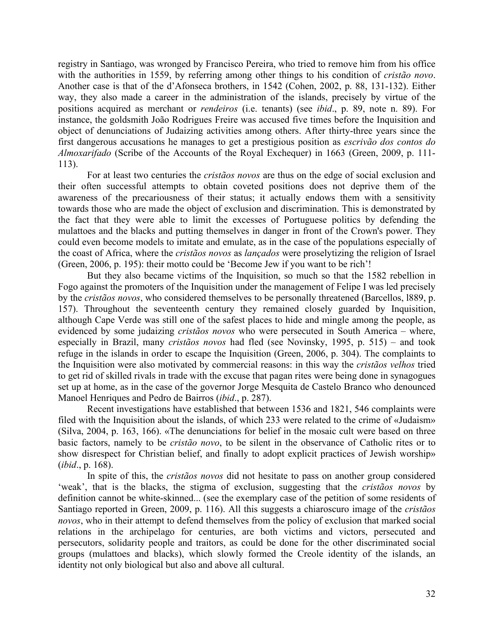registry in Santiago, was wronged by Francisco Pereira, who tried to remove him from his office with the authorities in 1559, by referring among other things to his condition of *cristão novo*. Another case is that of the d'Afonseca brothers, in 1542 (Cohen, 2002, p. 88, 131-132). Either way, they also made a career in the administration of the islands, precisely by virtue of the positions acquired as merchant or *rendeiros* (i.e. tenants) (see *ibid*., p. 89, note n. 89). For instance, the goldsmith João Rodrigues Freire was accused five times before the Inquisition and object of denunciations of Judaizing activities among others. After thirty-three years since the first dangerous accusations he manages to get a prestigious position as *escrivão dos contos do Almoxarifado* (Scribe of the Accounts of the Royal Exchequer) in 1663 (Green, 2009, p. 111- 113).

For at least two centuries the *cristãos novos* are thus on the edge of social exclusion and their often successful attempts to obtain coveted positions does not deprive them of the awareness of the precariousness of their status; it actually endows them with a sensitivity towards those who are made the object of exclusion and discrimination. This is demonstrated by the fact that they were able to limit the excesses of Portuguese politics by defending the mulattoes and the blacks and putting themselves in danger in front of the Crown's power. They could even become models to imitate and emulate, as in the case of the populations especially of the coast of Africa, where the *cristãos novos* as *lançados* were proselytizing the religion of Israel (Green, 2006, p. 195): their motto could be 'Become Jew if you want to be rich'!

But they also became victims of the Inquisition, so much so that the 1582 rebellion in Fogo against the promoters of the Inquisition under the management of Felipe I was led precisely by the *cristãos novos*, who considered themselves to be personally threatened (Barcellos, l889, p. 157). Throughout the seventeenth century they remained closely guarded by Inquisition, although Cape Verde was still one of the safest places to hide and mingle among the people, as evidenced by some judaizing *cristãos novos* who were persecuted in South America – where, especially in Brazil, many *cristãos novos* had fled (see Novinsky, 1995, p. 515) – and took refuge in the islands in order to escape the Inquisition (Green, 2006, p. 304). The complaints to the Inquisition were also motivated by commercial reasons: in this way the *cristãos velhos* tried to get rid of skilled rivals in trade with the excuse that pagan rites were being done in synagogues set up at home, as in the case of the governor Jorge Mesquita de Castelo Branco who denounced Manoel Henriques and Pedro de Bairros (*ibid*., p. 287).

Recent investigations have established that between 1536 and 1821, 546 complaints were filed with the Inquisition about the islands, of which 233 were related to the crime of «Judaism» (Silva, 2004, p. 163, 166). «The denunciations for belief in the mosaic cult were based on three basic factors, namely to be *cristão novo*, to be silent in the observance of Catholic rites or to show disrespect for Christian belief, and finally to adopt explicit practices of Jewish worship» (*ibid*., p. 168).

In spite of this, the *cristãos novos* did not hesitate to pass on another group considered 'weak', that is the blacks, the stigma of exclusion, suggesting that the *cristãos novos* by definition cannot be white-skinned... (see the exemplary case of the petition of some residents of Santiago reported in Green, 2009, p. 116). All this suggests a chiaroscuro image of the *cristãos novos*, who in their attempt to defend themselves from the policy of exclusion that marked social relations in the archipelago for centuries, are both victims and victors, persecuted and persecutors, solidarity people and traitors, as could be done for the other discriminated social groups (mulattoes and blacks), which slowly formed the Creole identity of the islands, an identity not only biological but also and above all cultural.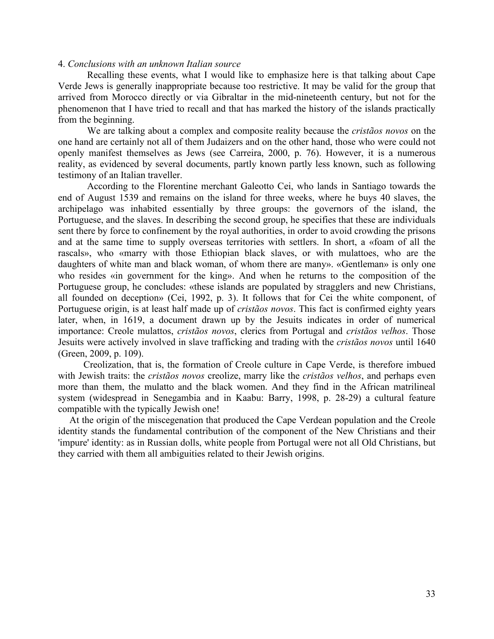## 4. *Conclusions with an unknown Italian source*

Recalling these events, what I would like to emphasize here is that talking about Cape Verde Jews is generally inappropriate because too restrictive. It may be valid for the group that arrived from Morocco directly or via Gibraltar in the mid-nineteenth century, but not for the phenomenon that I have tried to recall and that has marked the history of the islands practically from the beginning.

We are talking about a complex and composite reality because the *cristãos novos* on the one hand are certainly not all of them Judaizers and on the other hand, those who were could not openly manifest themselves as Jews (see Carreira, 2000, p. 76). However, it is a numerous reality, as evidenced by several documents, partly known partly less known, such as following testimony of an Italian traveller.

According to the Florentine merchant Galeotto Cei, who lands in Santiago towards the end of August 1539 and remains on the island for three weeks, where he buys 40 slaves, the archipelago was inhabited essentially by three groups: the governors of the island, the Portuguese, and the slaves. In describing the second group, he specifies that these are individuals sent there by force to confinement by the royal authorities, in order to avoid crowding the prisons and at the same time to supply overseas territories with settlers. In short, a «foam of all the rascals», who «marry with those Ethiopian black slaves, or with mulattoes, who are the daughters of white man and black woman, of whom there are many». «Gentleman» is only one who resides «in government for the king». And when he returns to the composition of the Portuguese group, he concludes: «these islands are populated by stragglers and new Christians, all founded on deception» (Cei, 1992, p. 3). It follows that for Cei the white component, of Portuguese origin, is at least half made up of *cristãos novos*. This fact is confirmed eighty years later, when, in 1619, a document drawn up by the Jesuits indicates in order of numerical importance: Creole mulattos, *cristãos novos*, clerics from Portugal and *cristãos velhos*. Those Jesuits were actively involved in slave trafficking and trading with the *cristãos novos* until 1640 (Green, 2009, p. 109).

Creolization, that is, the formation of Creole culture in Cape Verde, is therefore imbued with Jewish traits: the *cristãos novos* creolize, marry like the *cristãos velhos*, and perhaps even more than them, the mulatto and the black women. And they find in the African matrilineal system (widespread in Senegambia and in Kaabu: Barry, 1998, p. 28-29) a cultural feature compatible with the typically Jewish one!

At the origin of the miscegenation that produced the Cape Verdean population and the Creole identity stands the fundamental contribution of the component of the New Christians and their 'impure' identity: as in Russian dolls, white people from Portugal were not all Old Christians, but they carried with them all ambiguities related to their Jewish origins.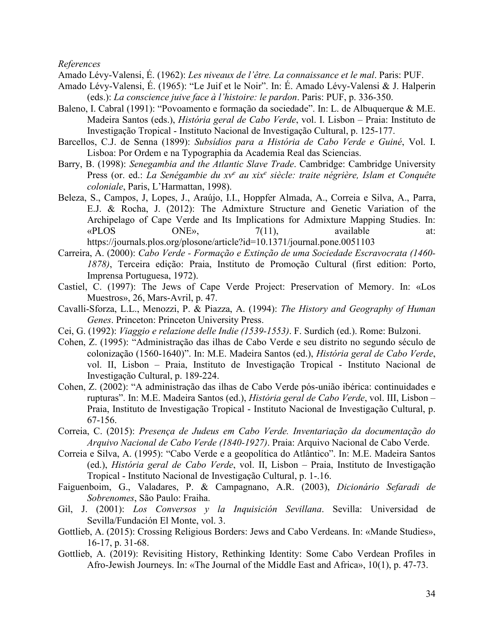*References*

Amado Lévy-Valensi, É. (1962): *Les niveaux de l'être. La connaissance et le mal*. Paris: PUF.

- Amado Lévy-Valensi, É. (1965): "Le Juif et le Noir". In: É. Amado Lévy-Valensi & J. Halperin (eds.): *La conscience juive face à l'histoire: le pardon*. Paris: PUF, p. 336-350.
- Baleno, I. Cabral (1991): "Povoamento e formação da sociedade". In: L. de Albuquerque & M.E. Madeira Santos (eds.), *História geral de Cabo Verde*, vol. I. Lisbon – Praia: Instituto de Investigação Tropical - Instituto Nacional de Investigação Cultural, p. 125-177.
- Barcellos, C.J. de Senna (1899): *Subsídios para a História de Cabo Verde e Guiné*, Vol. I. Lisboa: Por Ordem e na Typographia da Academia Real das Sciencias.
- Barry, B. (1998): *Senegambia and the Atlantic Slave Trade*. Cambridge: Cambridge University Press (or. ed.: *La Senégambie du xve au xixe siècle: traite négrière, Islam et Conquête coloniale*, Paris, L'Harmattan, 1998).
- Beleza, S., Campos, J, Lopes, J., Araújo, I.I., Hoppfer Almada, A., Correia e Silva, A., Parra, E.J. & Rocha, J. (2012): The Admixture Structure and Genetic Variation of the Archipelago of Cape Verde and Its Implications for Admixture Mapping Studies. In: «PLOS ONE»,  $7(11)$ , available at: https://journals.plos.org/plosone/article?id=10.1371/journal.pone.0051103
- Carreira, A. (2000): *Cabo Verde - Formação e Extinção de uma Sociedade Escravocrata (1460- 1878)*, Terceira edição: Praia, Instituto de Promoção Cultural (first edition: Porto, Imprensa Portuguesa, 1972).
- Castiel, C. (1997): The Jews of Cape Verde Project: Preservation of Memory. In: «Los Muestros», 26, Mars-Avril, p. 47.
- Cavalli-Sforza, L.L., Menozzi, P. & Piazza, A. (1994): *The History and Geography of Human Genes*. Princeton: Princeton University Press.
- Cei, G. (1992): *Viaggio e relazione delle Indie (1539-1553)*. F. Surdich (ed.). Rome: Bulzoni.
- Cohen, Z. (1995): "Administração das ilhas de Cabo Verde e seu distrito no segundo século de colonização (1560-1640)". In: M.E. Madeira Santos (ed.), *História geral de Cabo Verde*, vol. II, Lisbon – Praia, Instituto de Investigação Tropical - Instituto Nacional de Investigação Cultural, p. 189-224.
- Cohen, Z. (2002): "A administração das ilhas de Cabo Verde pós-união ibérica: continuidades e rupturas". In: M.E. Madeira Santos (ed.), *História geral de Cabo Verde*, vol. III, Lisbon – Praia, Instituto de Investigação Tropical - Instituto Nacional de Investigação Cultural, p. 67-156.
- Correia, C. (2015): *Presença de Judeus em Cabo Verde. Inventariação da documentação do Arquivo Nacional de Cabo Verde (1840-1927)*. Praia: Arquivo Nacional de Cabo Verde.
- Correia e Silva, A. (1995): "Cabo Verde e a geopolítica do Atlântico". In: M.E. Madeira Santos (ed.), *História geral de Cabo Verde*, vol. II, Lisbon – Praia, Instituto de Investigação Tropical - Instituto Nacional de Investigação Cultural, p. 1-.16.
- Faiguenboim, G., Valadares, P. & Campagnano, A.R. (2003), *Dicionário Sefaradi de Sobrenomes*, São Paulo: Fraiha.
- Gil, J. (2001): *Los Conversos y la Inquisición Sevillana*. Sevilla: Universidad de Sevilla/Fundación El Monte, vol. 3.
- Gottlieb, A. (2015): Crossing Religious Borders: Jews and Cabo Verdeans. In: «Mande Studies», 16-17, p. 31-68.
- Gottlieb, A. (2019): Revisiting History, Rethinking Identity: Some Cabo Verdean Profiles in Afro-Jewish Journeys. In: «The Journal of the Middle East and Africa», 10(1), p. 47-73.